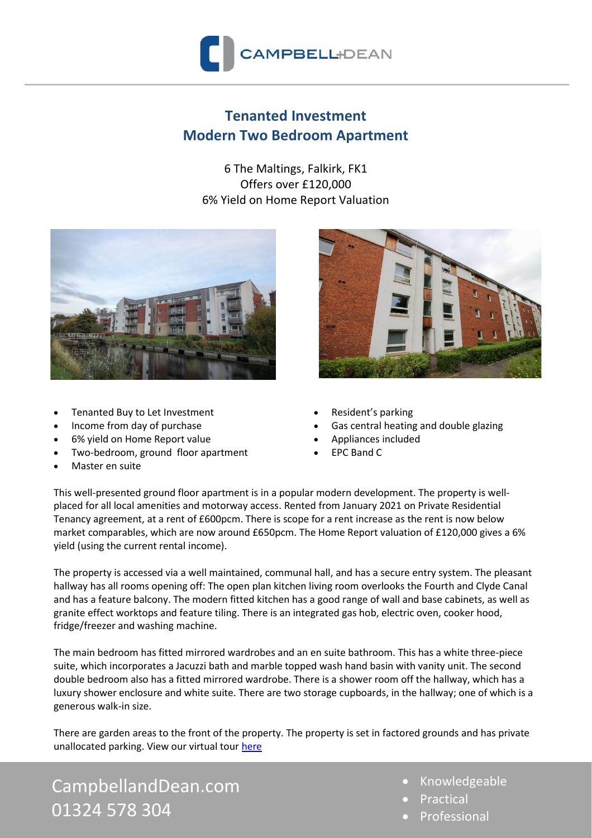

## **Tenanted Investment Modern Two Bedroom Apartment**

6 The Maltings, Falkirk, FK1 Offers over £120,000 6% Yield on Home Report Valuation



- Tenanted Buy to Let Investment
- Income from day of purchase
- 6% yield on Home Report value
- Two-bedroom, ground floor apartment
- Master en suite



- Resident's parking
- Gas central heating and double glazing
- Appliances included
- EPC Band C

This well-presented ground floor apartment is in a popular modern development. The property is wellplaced for all local amenities and motorway access. Rented from January 2021 on Private Residential Tenancy agreement, at a rent of £600pcm. There is scope for a rent increase as the rent is now below market comparables, which are now around £650pcm. The Home Report valuation of £120,000 gives a 6% yield (using the current rental income).

The property is accessed via a well maintained, communal hall, and has a secure entry system. The pleasant hallway has all rooms opening off: The open plan kitchen living room overlooks the Fourth and Clyde Canal and has a feature balcony. The modern fitted kitchen has a good range of wall and base cabinets, as well as granite effect worktops and feature tiling. There is an integrated gas hob, electric oven, cooker hood, fridge/freezer and washing machine.

The main bedroom has fitted mirrored wardrobes and an en suite bathroom. This has a white three-piece suite, which incorporates a Jacuzzi bath and marble topped wash hand basin with vanity unit. The second double bedroom also has a fitted mirrored wardrobe. There is a shower room off the hallway, which has a luxury shower enclosure and white suite. There are two storage cupboards, in the hallway; one of which is a generous walk-in size.

There are garden areas to the front of the property. The property is set in factored grounds and has private unallocated parking. View our virtual tour [here](https://campbell-dean.vr-360-tour.com/e/Y68BgQYx1JU/e)

CampbellandDean.com 01324 578 304

- Knowledgeable
- **Practical**
- **Professional**